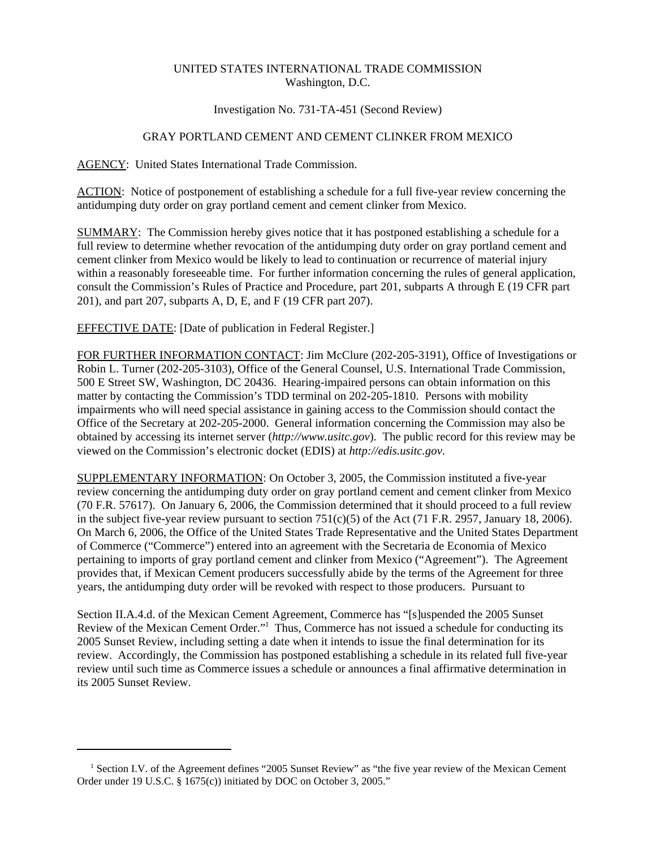# UNITED STATES INTERNATIONAL TRADE COMMISSION Washington, D.C.

## Investigation No. 731-TA-451 (Second Review)

# GRAY PORTLAND CEMENT AND CEMENT CLINKER FROM MEXICO

#### AGENCY: United States International Trade Commission.

ACTION: Notice of postponement of establishing a schedule for a full five-year review concerning the antidumping duty order on gray portland cement and cement clinker from Mexico.

SUMMARY: The Commission hereby gives notice that it has postponed establishing a schedule for a full review to determine whether revocation of the antidumping duty order on gray portland cement and cement clinker from Mexico would be likely to lead to continuation or recurrence of material injury within a reasonably foreseeable time. For further information concerning the rules of general application, consult the Commission's Rules of Practice and Procedure, part 201, subparts A through E (19 CFR part 201), and part 207, subparts A, D, E, and F (19 CFR part 207).

## EFFECTIVE DATE: [Date of publication in Federal Register.]

FOR FURTHER INFORMATION CONTACT: Jim McClure (202-205-3191), Office of Investigations or Robin L. Turner (202-205-3103), Office of the General Counsel, U.S. International Trade Commission, 500 E Street SW, Washington, DC 20436. Hearing-impaired persons can obtain information on this matter by contacting the Commission's TDD terminal on 202-205-1810. Persons with mobility impairments who will need special assistance in gaining access to the Commission should contact the Office of the Secretary at 202-205-2000. General information concerning the Commission may also be obtained by accessing its internet server (*http://www.usitc.gov*). The public record for this review may be viewed on the Commission's electronic docket (EDIS) at *http://edis.usitc.gov*.

SUPPLEMENTARY INFORMATION: On October 3, 2005, the Commission instituted a five-year review concerning the antidumping duty order on gray portland cement and cement clinker from Mexico (70 F.R. 57617). On January 6, 2006, the Commission determined that it should proceed to a full review in the subject five-year review pursuant to section 751(c)(5) of the Act (71 F.R. 2957, January 18, 2006). On March 6, 2006, the Office of the United States Trade Representative and the United States Department of Commerce ("Commerce") entered into an agreement with the Secretaria de Economia of Mexico pertaining to imports of gray portland cement and clinker from Mexico ("Agreement"). The Agreement provides that, if Mexican Cement producers successfully abide by the terms of the Agreement for three years, the antidumping duty order will be revoked with respect to those producers. Pursuant to

Section II.A.4.d. of the Mexican Cement Agreement, Commerce has "[s]uspended the 2005 Sunset Review of the Mexican Cement Order."<sup>1</sup> Thus, Commerce has not issued a schedule for conducting its 2005 Sunset Review, including setting a date when it intends to issue the final determination for its review. Accordingly, the Commission has postponed establishing a schedule in its related full five-year review until such time as Commerce issues a schedule or announces a final affirmative determination in its 2005 Sunset Review.

 <sup>1</sup> Section I.V. of the Agreement defines "2005 Sunset Review" as "the five year review of the Mexican Cement Order under 19 U.S.C. § 1675(c)) initiated by DOC on October 3, 2005."